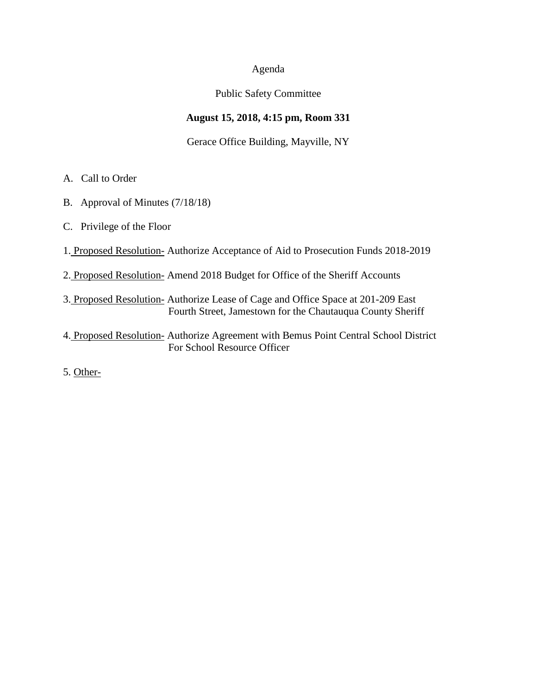## Agenda

## Public Safety Committee

# **August 15, 2018, 4:15 pm, Room 331**

Gerace Office Building, Mayville, NY

- A. Call to Order
- B. Approval of Minutes (7/18/18)
- C. Privilege of the Floor
- 1. Proposed Resolution- Authorize Acceptance of Aid to Prosecution Funds 2018-2019
- 2. Proposed Resolution- Amend 2018 Budget for Office of the Sheriff Accounts
- 3. Proposed Resolution- Authorize Lease of Cage and Office Space at 201-209 East Fourth Street, Jamestown for the Chautauqua County Sheriff
- 4. Proposed Resolution- Authorize Agreement with Bemus Point Central School District For School Resource Officer
- 5. Other-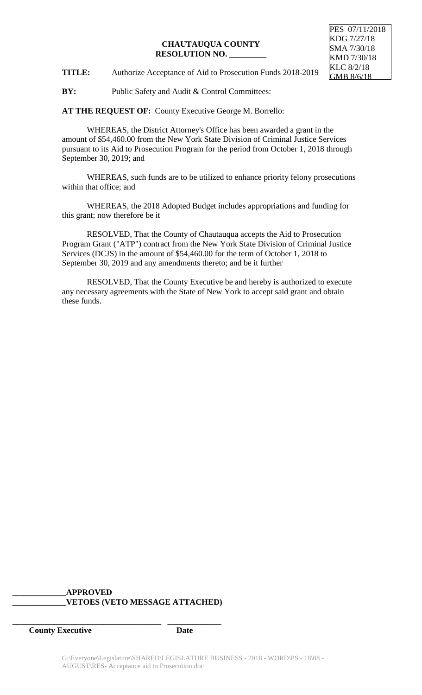### **CHAUTAUQUA COUNTY RESOLUTION NO. \_\_\_\_\_\_\_\_\_**



**TITLE:** Authorize Acceptance of Aid to Prosecution Funds 2018-2019

**BY:** Public Safety and Audit & Control Committees:

**AT THE REQUEST OF:** County Executive George M. Borrello:

WHEREAS, the District Attorney's Office has been awarded a grant in the amount of \$54,460.00 from the New York State Division of Criminal Justice Services pursuant to its Aid to Prosecution Program for the period from October 1, 2018 through September 30, 2019; and

WHEREAS, such funds are to be utilized to enhance priority felony prosecutions within that office; and

WHEREAS, the 2018 Adopted Budget includes appropriations and funding for this grant; now therefore be it

RESOLVED, That the County of Chautauqua accepts the Aid to Prosecution Program Grant ("ATP") contract from the New York State Division of Criminal Justice Services (DCJS) in the amount of \$54,460.00 for the term of October 1, 2018 to September 30, 2019 and any amendments thereto; and be it further

RESOLVED, That the County Executive be and hereby is authorized to execute any necessary agreements with the State of New York to accept said grant and obtain these funds.

# **\_\_\_\_\_\_\_\_\_\_\_\_\_APPROVED \_\_\_\_\_\_\_\_\_\_\_\_\_VETOES (VETO MESSAGE ATTACHED)**

**\_\_\_\_\_\_\_\_\_\_\_\_\_\_\_\_\_\_\_\_\_\_\_\_\_\_\_\_\_\_\_\_\_\_\_\_ \_\_\_\_\_\_\_\_\_\_\_\_\_**

**County Executive Date**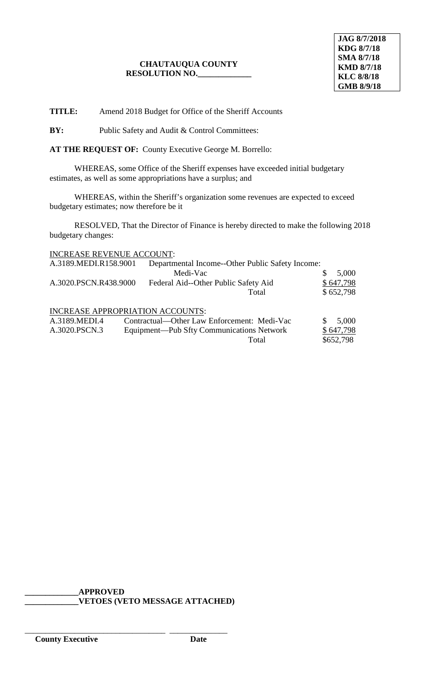# **CHAUTAUQUA COUNTY RESOLUTION NO.\_\_\_\_\_\_\_\_\_\_\_\_\_**

**TITLE:** Amend 2018 Budget for Office of the Sheriff Accounts

**BY:** Public Safety and Audit & Control Committees:

**AT THE REQUEST OF:** County Executive George M. Borrello:

WHEREAS, some Office of the Sheriff expenses have exceeded initial budgetary estimates, as well as some appropriations have a surplus; and

WHEREAS, within the Sheriff's organization some revenues are expected to exceed budgetary estimates; now therefore be it

RESOLVED, That the Director of Finance is hereby directed to make the following 2018 budgetary changes:

| <b>INCREASE REVENUE ACCOUNT:</b> |                                                  |  |           |  |
|----------------------------------|--------------------------------------------------|--|-----------|--|
| A.3189.MEDI.R158.9001            | Departmental Income--Other Public Safety Income: |  |           |  |
|                                  | Medi-Vac                                         |  | 5,000     |  |
| A.3020.PSCN.R438.9000            | Federal Aid--Other Public Safety Aid             |  | \$647,798 |  |
|                                  | Total                                            |  | \$652,798 |  |
|                                  |                                                  |  |           |  |
|                                  | INCREASE APPROPRIATION ACCOUNTS:                 |  |           |  |
| A.3189.MEDI.4                    | Contractual—Other Law Enforcement: Medi-Vac      |  | 5,000     |  |
| A.3020.PSCN.3                    | Equipment—Pub Sfty Communications Network        |  | \$647,798 |  |
|                                  | Total                                            |  | \$652,798 |  |
|                                  |                                                  |  |           |  |

**\_\_\_\_\_\_\_\_\_\_\_\_\_APPROVED \_\_\_\_\_\_\_\_\_\_\_\_\_VETOES (VETO MESSAGE ATTACHED)**

\_\_\_\_\_\_\_\_\_\_\_\_\_\_\_\_\_\_\_\_\_\_\_\_\_\_\_\_\_\_\_\_\_\_ \_\_\_\_\_\_\_\_\_\_\_\_\_\_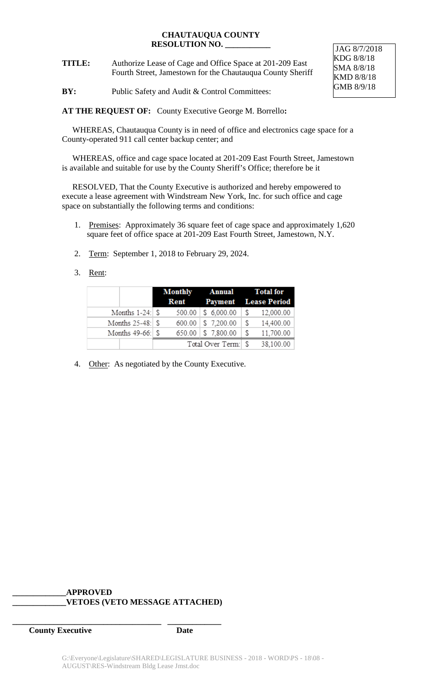### **CHAUTAUQUA COUNTY RESOLUTION NO. \_\_\_\_\_\_\_\_\_\_\_**

**TITLE:** Authorize Lease of Cage and Office Space at 201-209 East Fourth Street, Jamestown for the Chautauqua County Sheriff

**BY:** Public Safety and Audit & Control Committees:

**AT THE REQUEST OF:** County Executive George M. Borrello**:**

WHEREAS, Chautauqua County is in need of office and electronics cage space for a County-operated 911 call center backup center; and

 WHEREAS, office and cage space located at 201-209 East Fourth Street, Jamestown is available and suitable for use by the County Sheriff's Office; therefore be it

 RESOLVED, That the County Executive is authorized and hereby empowered to execute a lease agreement with Windstream New York, Inc. for such office and cage space on substantially the following terms and conditions:

- 1. Premises: Approximately 36 square feet of cage space and approximately 1,620 square feet of office space at 201-209 East Fourth Street, Jamestown, N.Y.
- 2. Term: September 1, 2018 to February 29, 2024.
- 3. Rent:

|                  |                     | <b>Monthly</b> | <b>Annual</b> Total for |           |                             |
|------------------|---------------------|----------------|-------------------------|-----------|-----------------------------|
|                  |                     | Rent           |                         |           | <b>Payment</b> Lease Period |
| Months 1-24: \$  |                     |                | $500.00$   \$ 6,000.00  | -S        | 12,000.00                   |
| Months 25-48: \$ |                     |                | $600.00$   \$ 7,200.00  | -S        | 14,400.00                   |
| Months 49-66: \$ |                     | 650.00         | \$7,800.00              | -S        | 11,700.00                   |
|                  | Total Over Term: \$ |                |                         | 38,100.00 |                             |

4. Other: As negotiated by the County Executive.

# **\_\_\_\_\_\_\_\_\_\_\_\_\_APPROVED \_\_\_\_\_\_\_\_\_\_\_\_\_VETOES (VETO MESSAGE ATTACHED)**

**\_\_\_\_\_\_\_\_\_\_\_\_\_\_\_\_\_\_\_\_\_\_\_\_\_\_\_\_\_\_\_\_\_\_\_\_ \_\_\_\_\_\_\_\_\_\_\_\_\_**

**County Executive Date**